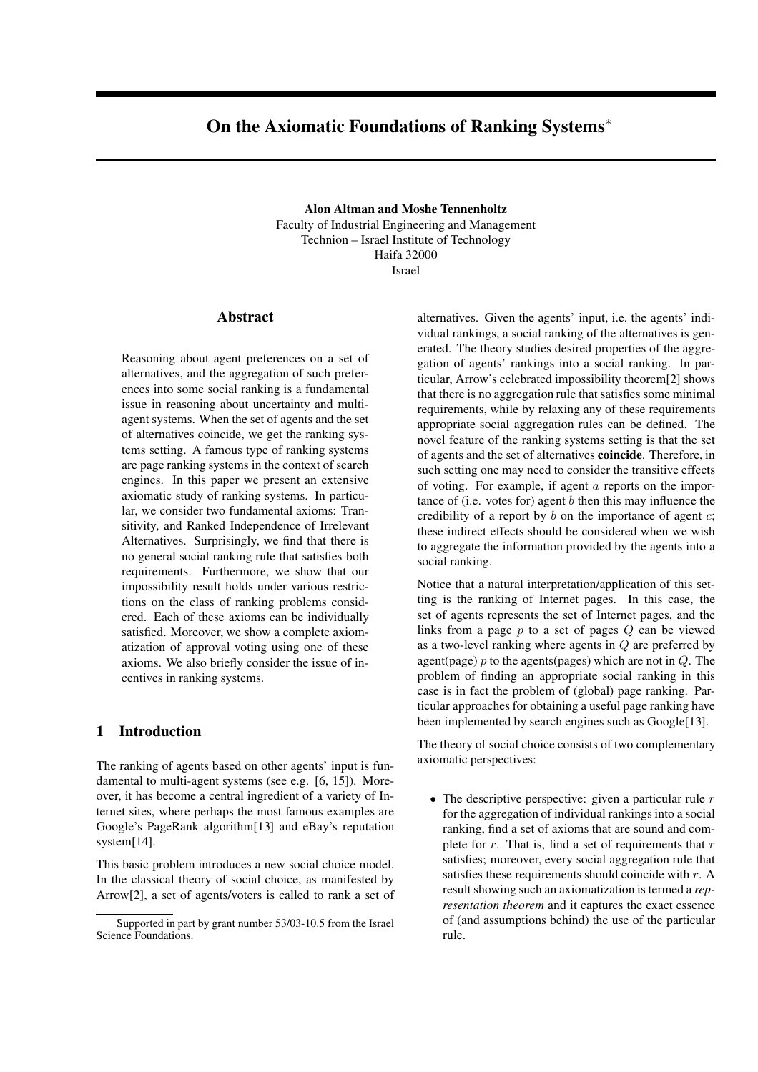# **On the Axiomatic Foundations of Ranking Systems**<sup>∗</sup>

**Alon Altman and Moshe Tennenholtz** Faculty of Industrial Engineering and Management Technion – Israel Institute of Technology Haifa 32000 Israel

# **Abstract**

Reasoning about agent preferences on a set of alternatives, and the aggregation of such preferences into some social ranking is a fundamental issue in reasoning about uncertainty and multiagent systems. When the set of agents and the set of alternatives coincide, we get the ranking systems setting. A famous type of ranking systems are page ranking systems in the context of search engines. In this paper we present an extensive axiomatic study of ranking systems. In particular, we consider two fundamental axioms: Transitivity, and Ranked Independence of Irrelevant Alternatives. Surprisingly, we find that there is no general social ranking rule that satisfies both requirements. Furthermore, we show that our impossibility result holds under various restrictions on the class of ranking problems considered. Each of these axioms can be individually satisfied. Moreover, we show a complete axiomatization of approval voting using one of these axioms. We also briefly consider the issue of incentives in ranking systems.

# **1 Introduction**

The ranking of agents based on other agents' input is fundamental to multi-agent systems (see e.g. [6, 15]). Moreover, it has become a central ingredient of a variety of Internet sites, where perhaps the most famous examples are Google's PageRank algorithm[13] and eBay's reputation system[14].

This basic problem introduces a new social choice model. In the classical theory of social choice, as manifested by Arrow[2], a set of agents/voters is called to rank a set of alternatives. Given the agents' input, i.e. the agents' individual rankings, a social ranking of the alternatives is generated. The theory studies desired properties of the aggregation of agents' rankings into a social ranking. In particular, Arrow's celebrated impossibility theorem[2] shows that there is no aggregation rule that satisfies some minimal requirements, while by relaxing any of these requirements appropriate social aggregation rules can be defined. The novel feature of the ranking systems setting is that the set of agents and the set of alternatives **coincide**. Therefore, in such setting one may need to consider the transitive effects of voting. For example, if agent  $\alpha$  reports on the importance of (i.e. votes for) agent  $b$  then this may influence the credibility of a report by  $b$  on the importance of agent  $c$ ; these indirect effects should be considered when we wish to aggregate the information provided by the agents into a social ranking.

Notice that a natural interpretation/application of this setting is the ranking of Internet pages. In this case, the set of agents represents the set of Internet pages, and the links from a page  $p$  to a set of pages  $Q$  can be viewed as a two-level ranking where agents in Q are preferred by agent(page)  $p$  to the agents(pages) which are not in  $Q$ . The problem of finding an appropriate social ranking in this case is in fact the problem of (global) page ranking. Particular approaches for obtaining a useful page ranking have been implemented by search engines such as Google<sup>[13]</sup>.

The theory of social choice consists of two complementary axiomatic perspectives:

• The descriptive perspective: given a particular rule  $r$ for the aggregation of individual rankings into a social ranking, find a set of axioms that are sound and complete for  $r$ . That is, find a set of requirements that  $r$ satisfies; moreover, every social aggregation rule that satisfies these requirements should coincide with  $r$ . A result showing such an axiomatization is termed a *representation theorem* and it captures the exact essence of (and assumptions behind) the use of the particular rule.

Supported in part by grant number 53/03-10.5 from the Israel Science Foundations.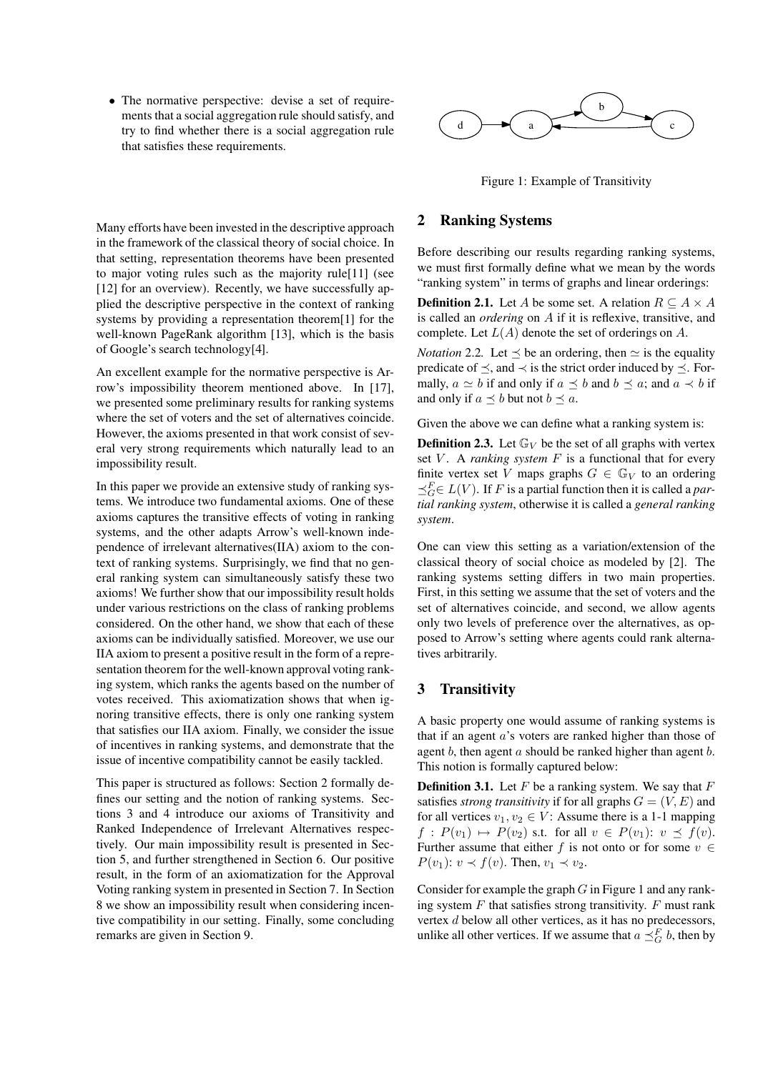• The normative perspective: devise a set of requirements that a social aggregation rule should satisfy, and try to find whether there is a social aggregation rule that satisfies these requirements.

Many efforts have been invested in the descriptive approach in the framework of the classical theory of social choice. In that setting, representation theorems have been presented to major voting rules such as the majority rule[11] (see [12] for an overview). Recently, we have successfully applied the descriptive perspective in the context of ranking systems by providing a representation theorem[1] for the well-known PageRank algorithm [13], which is the basis of Google's search technology[4].

An excellent example for the normative perspective is Arrow's impossibility theorem mentioned above. In [17], we presented some preliminary results for ranking systems where the set of voters and the set of alternatives coincide. However, the axioms presented in that work consist of several very strong requirements which naturally lead to an impossibility result.

In this paper we provide an extensive study of ranking systems. We introduce two fundamental axioms. One of these axioms captures the transitive effects of voting in ranking systems, and the other adapts Arrow's well-known independence of irrelevant alternatives(IIA) axiom to the context of ranking systems. Surprisingly, we find that no general ranking system can simultaneously satisfy these two axioms! We further show that our impossibility result holds under various restrictions on the class of ranking problems considered. On the other hand, we show that each of these axioms can be individually satisfied. Moreover, we use our IIA axiom to present a positive result in the form of a representation theorem for the well-known approval voting ranking system, which ranks the agents based on the number of votes received. This axiomatization shows that when ignoring transitive effects, there is only one ranking system that satisfies our IIA axiom. Finally, we consider the issue of incentives in ranking systems, and demonstrate that the issue of incentive compatibility cannot be easily tackled.

This paper is structured as follows: Section 2 formally defines our setting and the notion of ranking systems. Sections 3 and 4 introduce our axioms of Transitivity and Ranked Independence of Irrelevant Alternatives respectively. Our main impossibility result is presented in Section 5, and further strengthened in Section 6. Our positive result, in the form of an axiomatization for the Approval Voting ranking system in presented in Section 7. In Section 8 we show an impossibility result when considering incentive compatibility in our setting. Finally, some concluding remarks are given in Section 9.



Figure 1: Example of Transitivity

## **2 Ranking Systems**

Before describing our results regarding ranking systems, we must first formally define what we mean by the words "ranking system" in terms of graphs and linear orderings:

**Definition 2.1.** Let A be some set. A relation  $R \subseteq A \times A$ is called an *ordering* on A if it is reflexive, transitive, and complete. Let  $L(A)$  denote the set of orderings on A.

*Notation* 2.2. Let  $\leq$  be an ordering, then  $\simeq$  is the equality predicate of  $\preceq$ , and  $\prec$  is the strict order induced by  $\preceq$ . Formally,  $a \simeq b$  if and only if  $a \preceq b$  and  $b \preceq a$ ; and  $a \prec b$  if and only if  $a \preceq b$  but not  $b \preceq a$ .

Given the above we can define what a ranking system is:

**Definition 2.3.** Let  $\mathbb{G}_V$  be the set of all graphs with vertex set  $V$ . A *ranking system*  $F$  is a functional that for every finite vertex set V maps graphs  $G \in \mathbb{G}_V$  to an ordering  $\preceq_G^F$  ∈  $L(V)$ . If F is a partial function then it is called a *partial ranking system*, otherwise it is called a *general ranking system*.

One can view this setting as a variation/extension of the classical theory of social choice as modeled by [2]. The ranking systems setting differs in two main properties. First, in this setting we assume that the set of voters and the set of alternatives coincide, and second, we allow agents only two levels of preference over the alternatives, as opposed to Arrow's setting where agents could rank alternatives arbitrarily.

## **3 Transitivity**

A basic property one would assume of ranking systems is that if an agent a's voters are ranked higher than those of agent  $b$ , then agent  $a$  should be ranked higher than agent  $b$ . This notion is formally captured below:

**Definition 3.1.** Let  $F$  be a ranking system. We say that  $F$ satisfies *strong transitivity* if for all graphs  $G = (V, E)$  and for all vertices  $v_1, v_2 \in V$ : Assume there is a 1-1 mapping  $f : P(v_1) \mapsto P(v_2)$  s.t. for all  $v \in P(v_1): v \preceq f(v)$ . Further assume that either f is not onto or for some  $v \in$  $P(v_1)$ :  $v \prec f(v)$ . Then,  $v_1 \prec v_2$ .

Consider for example the graph  $G$  in Figure 1 and any ranking system  $F$  that satisfies strong transitivity.  $F$  must rank vertex d below all other vertices, as it has no predecessors, unlike all other vertices. If we assume that  $a \preceq_G^F b$ , then by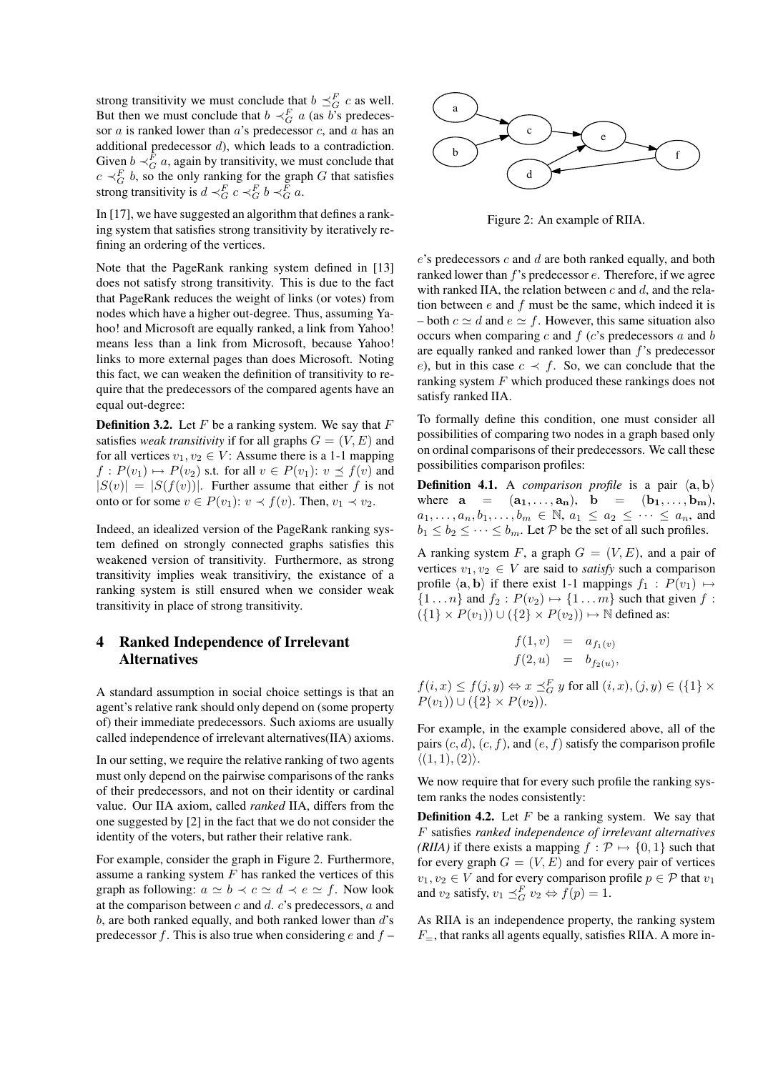strong transitivity we must conclude that  $b \preceq_G^F c$  as well. But then we must conclude that  $b \prec_G^F a$  (as b's predecessor  $a$  is ranked lower than  $a$ 's predecessor  $c$ , and  $a$  has an additional predecessor d), which leads to a contradiction. Given  $b \prec_G^F a$ , again by transitivity, we must conclude that  $c \prec_G^F b$ , so the only ranking for the graph G that satisfies strong transitivity is  $d \prec_G^F c \prec_G^F b \prec_G^F a$ .

In [17], we have suggested an algorithm that defines a ranking system that satisfies strong transitivity by iteratively refining an ordering of the vertices.

Note that the PageRank ranking system defined in [13] does not satisfy strong transitivity. This is due to the fact that PageRank reduces the weight of links (or votes) from nodes which have a higher out-degree. Thus, assuming Yahoo! and Microsoft are equally ranked, a link from Yahoo! means less than a link from Microsoft, because Yahoo! links to more external pages than does Microsoft. Noting this fact, we can weaken the definition of transitivity to require that the predecessors of the compared agents have an equal out-degree:

**Definition 3.2.** Let  $F$  be a ranking system. We say that  $F$ satisfies *weak transitivity* if for all graphs  $G = (V, E)$  and for all vertices  $v_1, v_2 \in V$ : Assume there is a 1-1 mapping  $f: P(v_1) \mapsto P(v_2)$  s.t. for all  $v \in P(v_1)$ :  $v \preceq f(v)$  and  $|S(v)| = |S(f(v))|$ . Further assume that either f is not onto or for some  $v \in P(v_1)$ :  $v \prec f(v)$ . Then,  $v_1 \prec v_2$ .

Indeed, an idealized version of the PageRank ranking system defined on strongly connected graphs satisfies this weakened version of transitivity. Furthermore, as strong transitivity implies weak transitiviry, the existance of a ranking system is still ensured when we consider weak transitivity in place of strong transitivity.

# **4 Ranked Independence of Irrelevant Alternatives**

A standard assumption in social choice settings is that an agent's relative rank should only depend on (some property of) their immediate predecessors. Such axioms are usually called independence of irrelevant alternatives(IIA) axioms.

In our setting, we require the relative ranking of two agents must only depend on the pairwise comparisons of the ranks of their predecessors, and not on their identity or cardinal value. Our IIA axiom, called *ranked* IIA, differs from the one suggested by [2] in the fact that we do not consider the identity of the voters, but rather their relative rank.

For example, consider the graph in Figure 2. Furthermore, assume a ranking system  $F$  has ranked the vertices of this graph as following:  $a \simeq b \prec c \simeq d \prec e \simeq f$ . Now look at the comparison between  $c$  and  $d$ .  $c$ 's predecessors,  $a$  and  $b$ , are both ranked equally, and both ranked lower than  $d$ 's predecessor f. This is also true when considering  $e$  and  $f$  –



Figure 2: An example of RIIA.

 $e$ 's predecessors  $c$  and  $d$  are both ranked equally, and both ranked lower than  $f$ 's predecessor  $e$ . Therefore, if we agree with ranked IIA, the relation between  $c$  and  $d$ , and the relation between  $e$  and  $f$  must be the same, which indeed it is – both  $c \simeq d$  and  $e \simeq f$ . However, this same situation also occurs when comparing c and  $f(c)$ 's predecessors a and b are equally ranked and ranked lower than  $f$ 's predecessor e), but in this case  $c \prec f$ . So, we can conclude that the ranking system  $F$  which produced these rankings does not satisfy ranked IIA.

To formally define this condition, one must consider all possibilities of comparing two nodes in a graph based only on ordinal comparisons of their predecessors. We call these possibilities comparison profiles:

**Definition 4.1.** A *comparison profile* is a pair  $\langle \mathbf{a}, \mathbf{b} \rangle$ where  $\mathbf{a} = (\mathbf{a_1}, \dots, \mathbf{a_n}), \mathbf{b} = (\mathbf{b_1}, \dots, \mathbf{b_m}),$  $a_1, \ldots, a_n, b_1, \ldots, b_m \in \mathbb{N}, a_1 \leq a_2 \leq \cdots \leq a_n$ , and  $b_1 \leq b_2 \leq \cdots \leq b_m$ . Let P be the set of all such profiles.

A ranking system F, a graph  $G = (V, E)$ , and a pair of vertices  $v_1, v_2 \in V$  are said to *satisfy* such a comparison profile  $\langle \mathbf{a}, \mathbf{b} \rangle$  if there exist 1-1 mappings  $f_1 : P(v_1) \mapsto$  $\{1 \dots n\}$  and  $f_2 : P(v_2) \mapsto \{1 \dots m\}$  such that given  $f$ :  $({1} \times P(v_1)) \cup ({2} \times P(v_2)) \mapsto \mathbb{N}$  defined as:

$$
f(1, v) = a_{f_1(v)} \n f(2, u) = b_{f_2(u)},
$$

 $f(i, x) \leq f(j, y) \Leftrightarrow x \preceq_G^F y$  for all  $(i, x), (j, y) \in (\{1\} \times$  $P(v_1)) \cup (\{2\} \times P(v_2)).$ 

For example, in the example considered above, all of the pairs  $(c, d)$ ,  $(c, f)$ , and  $(e, f)$  satisfy the comparison profile  $\langle (1, 1), (2) \rangle$ .

We now require that for every such profile the ranking system ranks the nodes consistently:

**Definition 4.2.** Let F be a ranking system. We say that F satisfies *ranked independence of irrelevant alternatives (RIIA)* if there exists a mapping  $f : \mathcal{P} \mapsto \{0, 1\}$  such that for every graph  $G = (V, E)$  and for every pair of vertices  $v_1, v_2 \in V$  and for every comparison profile  $p \in \mathcal{P}$  that  $v_1$ and  $v_2$  satisfy,  $v_1 \preceq_G^F v_2 \Leftrightarrow f(p) = 1$ .

As RIIA is an independence property, the ranking system  $F_{=}$ , that ranks all agents equally, satisfies RIIA. A more in-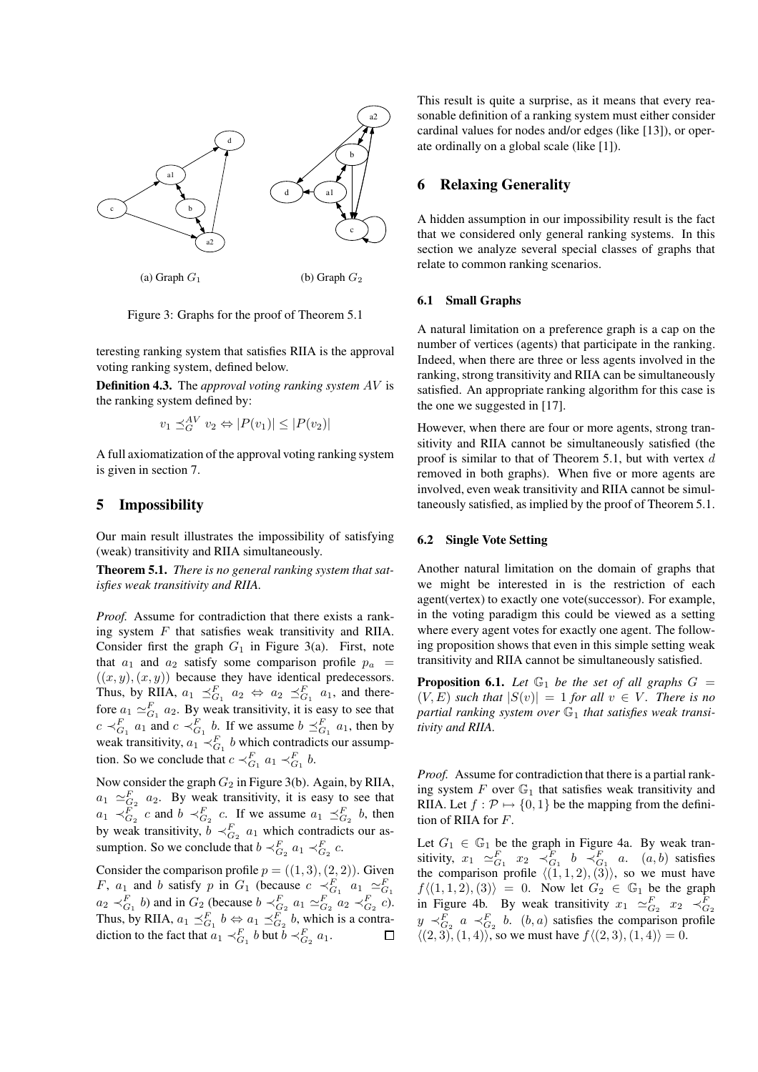

(a) Graph  $G_1$ 

(b) Graph  $G_2$ 

Figure 3: Graphs for the proof of Theorem 5.1

teresting ranking system that satisfies RIIA is the approval voting ranking system, defined below.

**Definition 4.3.** The *approval voting ranking system* AV is the ranking system defined by:

$$
v_1 \preceq_G^{AV} v_2 \Leftrightarrow |P(v_1)| \le |P(v_2)|
$$

A full axiomatization of the approval voting ranking system is given in section 7.

## **5 Impossibility**

Our main result illustrates the impossibility of satisfying (weak) transitivity and RIIA simultaneously.

**Theorem 5.1.** *There is no general ranking system that satisfies weak transitivity and RIIA.*

*Proof.* Assume for contradiction that there exists a ranking system  $F$  that satisfies weak transitivity and RIIA. Consider first the graph  $G_1$  in Figure 3(a). First, note that  $a_1$  and  $a_2$  satisfy some comparison profile  $p_a$  =  $((x, y), (x, y))$  because they have identical predecessors. Thus, by RIIA,  $a_1 \preceq_{G_1}^F a_2 \Leftrightarrow a_2 \preceq_{G_1}^F a_1$ , and therefore  $a_1 \simeq_{G_1}^F a_2$ . By weak transitivity, it is easy to see that  $c \prec_{G_1}^F a_1$  and  $c \prec_{G_1}^F b$ . If we assume  $b \preceq_{G_1}^F a_1$ , then by weak transitivity,  $a_1 \prec_{G_1}^F b$  which contradicts our assumption. So we conclude that  $c \prec_{G_1}^F a_1 \prec_{G_1}^F b$ .

Now consider the graph  $G_2$  in Figure 3(b). Again, by RIIA,  $a_1 \simeq_{G_2}^F a_2$ . By weak transitivity, it is easy to see that  $a_1 \prec_{G_2}^F c$  and  $b \prec_{G_2}^F c$ . If we assume  $a_1 \preceq_{G_2}^F b$ , then by weak transitivity,  $b \prec_{G_2}^F a_1$  which contradicts our assumption. So we conclude that  $b \prec_{G_2}^F a_1 \prec_{G_2}^F c$ .

Consider the comparison profile  $p = ((1, 3), (2, 2))$ . Given F,  $a_1$  and b satisfy p in  $G_1$  (because  $c \prec_{G_1}^F a_1 \simeq_{G_1}^F a_1$  $a_2 \prec_{G_1}^F b$  and in  $G_2$  (because  $b \prec_{G_2}^F a_1 \simeq_{G_2}^F a_2 \prec_{G_2}^F c$ ). Thus, by RIIA,  $a_1 \preceq_{G_1}^F b \Leftrightarrow a_1 \preceq_{G_2}^F b$ , which is a contradiction to the fact that  $a_1 \prec_{G_1}^F b$  but  $b \prec_{G_2}^F a_1$ .

This result is quite a surprise, as it means that every reasonable definition of a ranking system must either consider cardinal values for nodes and/or edges (like [13]), or operate ordinally on a global scale (like [1]).

# **6 Relaxing Generality**

A hidden assumption in our impossibility result is the fact that we considered only general ranking systems. In this section we analyze several special classes of graphs that relate to common ranking scenarios.

## **6.1 Small Graphs**

A natural limitation on a preference graph is a cap on the number of vertices (agents) that participate in the ranking. Indeed, when there are three or less agents involved in the ranking, strong transitivity and RIIA can be simultaneously satisfied. An appropriate ranking algorithm for this case is the one we suggested in [17].

However, when there are four or more agents, strong transitivity and RIIA cannot be simultaneously satisfied (the proof is similar to that of Theorem 5.1, but with vertex  $d$ removed in both graphs). When five or more agents are involved, even weak transitivity and RIIA cannot be simultaneously satisfied, as implied by the proof of Theorem 5.1.

#### **6.2 Single Vote Setting**

Another natural limitation on the domain of graphs that we might be interested in is the restriction of each agent(vertex) to exactly one vote(successor). For example, in the voting paradigm this could be viewed as a setting where every agent votes for exactly one agent. The following proposition shows that even in this simple setting weak transitivity and RIIA cannot be simultaneously satisfied.

**Proposition 6.1.** *Let*  $\mathbb{G}_1$  *be the set of all graphs*  $G =$  $(V, E)$  *such that*  $|S(v)| = 1$  *for all*  $v \in V$ *. There is no partial ranking system over*  $\mathbb{G}_1$  *that satisfies weak transitivity and RIIA.*

*Proof.* Assume for contradiction that there is a partial ranking system  $F$  over  $\mathbb{G}_1$  that satisfies weak transitivity and RIIA. Let  $f : \mathcal{P} \mapsto \{0, 1\}$  be the mapping from the definition of RIIA for F.

Let  $G_1 \in \mathbb{G}_1$  be the graph in Figure 4a. By weak transitivity,  $x_1 \cong_{G_1}^F x_2 \prec_{G_1}^F b \prec_{G_1}^F a$ .  $(a, b)$  satisfies the comparison profile  $\langle (1, 1, 2), (3) \rangle$ , so we must have  $f\langle (1, 1, 2), (3) \rangle = 0$ . Now let  $G_2 \in \mathbb{G}_1$  be the graph in Figure 4b. By weak transitivity  $x_1 \sim_{G_2}^F x_2 \prec_{G_2}^F y \prec_{G_2}^F a \prec_{G_2}^F b$ . (b, a) satisfies the comparison profile  $\langle (2, 3), (1, 4) \rangle$ , so we must have  $f\langle (2, 3), (1, 4) \rangle = 0$ .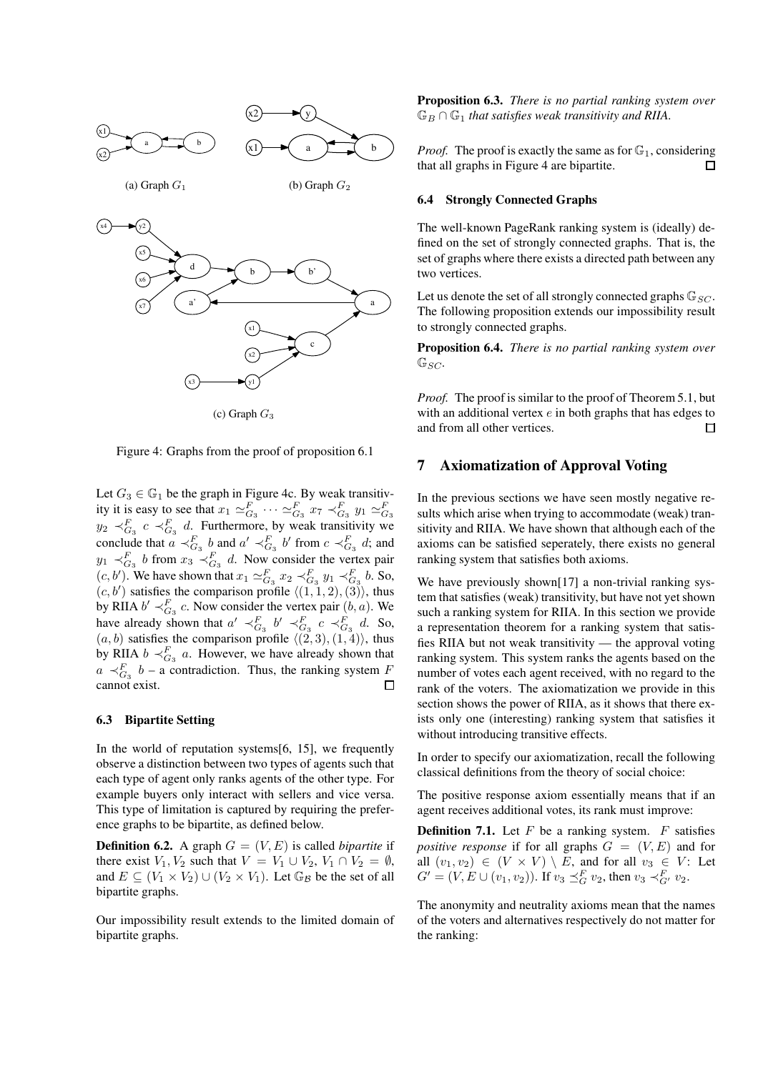

Figure 4: Graphs from the proof of proposition 6.1

Let  $G_3 \in \mathbb{G}_1$  be the graph in Figure 4c. By weak transitivity it is easy to see that  $x_1 \simeq_{G_3}^F \cdots \simeq_{G_3}^F x_7 \prec_{G_3}^F y_1 \simeq_{G_3}^F y_2 \prec_{G_3}^F c \prec_{G_3}^F d$ . Furthermore, by weak transitivity we conclude that  $a \prec_{G_3}^F b$  and  $a' \prec_{G_3}^F b'$  from  $c \prec_{G_3}^F d$ ; and  $y_1 \prec_{G_3}^F b$  from  $x_3 \prec_{G_3}^F d$ . Now consider the vertex pair  $(c, b')$ . We have shown that  $x_1 \simeq_{G_3}^F x_2 \prec_{G_3}^F y_1 \prec_{G_3}^F b$ . So,  $(c, b')$  satisfies the comparison profile  $\langle (1, 1, 2), (3) \rangle$ , thus by RIIA  $b' \prec_{G_3}^F c$ . Now consider the vertex pair  $(b, a)$ . We have already shown that  $a' \prec_{G_3}^F b' \prec_{G_3}^F c \prec_{G_3}^F d$ . So,  $(a, b)$  satisfies the comparison profile  $\langle (2, 3), (1, 4) \rangle$ , thus by RIIA  $b \prec_{G_3}^F a$ . However, we have already shown that  $a \prec_{G_3}^F b$  – a contradiction. Thus, the ranking system F cannot exist.  $\Box$ 

#### **6.3 Bipartite Setting**

In the world of reputation systems[6, 15], we frequently observe a distinction between two types of agents such that each type of agent only ranks agents of the other type. For example buyers only interact with sellers and vice versa. This type of limitation is captured by requiring the preference graphs to be bipartite, as defined below.

**Definition 6.2.** A graph  $G = (V, E)$  is called *bipartite* if there exist  $V_1, V_2$  such that  $V = V_1 \cup V_2, V_1 \cap V_2 = \emptyset$ , and  $E \subseteq (V_1 \times V_2) \cup (V_2 \times V_1)$ . Let  $\mathbb{G}_B$  be the set of all bipartite graphs.

Our impossibility result extends to the limited domain of bipartite graphs.

**Proposition 6.3.** *There is no partial ranking system over*  $\mathbb{G}_B \cap \mathbb{G}_1$  *that satisfies weak transitivity and RIIA.* 

*Proof.* The proof is exactly the same as for  $\mathbb{G}_1$ , considering that all graphs in Figure 4 are bipartite.  $\Box$ 

#### **6.4 Strongly Connected Graphs**

The well-known PageRank ranking system is (ideally) defined on the set of strongly connected graphs. That is, the set of graphs where there exists a directed path between any two vertices.

Let us denote the set of all strongly connected graphs  $\mathbb{G}_{SC}$ . The following proposition extends our impossibility result to strongly connected graphs.

**Proposition 6.4.** *There is no partial ranking system over*  $\mathbb{G}_{SC}$ .

*Proof.* The proof is similar to the proof of Theorem 5.1, but with an additional vertex  $e$  in both graphs that has edges to and from all other vertices.  $\Box$ 

# **7 Axiomatization of Approval Voting**

In the previous sections we have seen mostly negative results which arise when trying to accommodate (weak) transitivity and RIIA. We have shown that although each of the axioms can be satisfied seperately, there exists no general ranking system that satisfies both axioms.

We have previously shown[17] a non-trivial ranking system that satisfies (weak) transitivity, but have not yet shown such a ranking system for RIIA. In this section we provide a representation theorem for a ranking system that satisfies RIIA but not weak transitivity — the approval voting ranking system. This system ranks the agents based on the number of votes each agent received, with no regard to the rank of the voters. The axiomatization we provide in this section shows the power of RIIA, as it shows that there exists only one (interesting) ranking system that satisfies it without introducing transitive effects.

In order to specify our axiomatization, recall the following classical definitions from the theory of social choice:

The positive response axiom essentially means that if an agent receives additional votes, its rank must improve:

**Definition 7.1.** Let  $F$  be a ranking system.  $F$  satisfies *positive response* if for all graphs  $G = (V, E)$  and for all  $(v_1, v_2) \in (V \times V) \setminus E$ , and for all  $v_3 \in V$ : Let  $G' = (V, E \cup (v_1, v_2))$ . If  $v_3 \preceq_G^F v_2$ , then  $v_3 \prec_{G'}^F v_2$ .

The anonymity and neutrality axioms mean that the names of the voters and alternatives respectively do not matter for the ranking: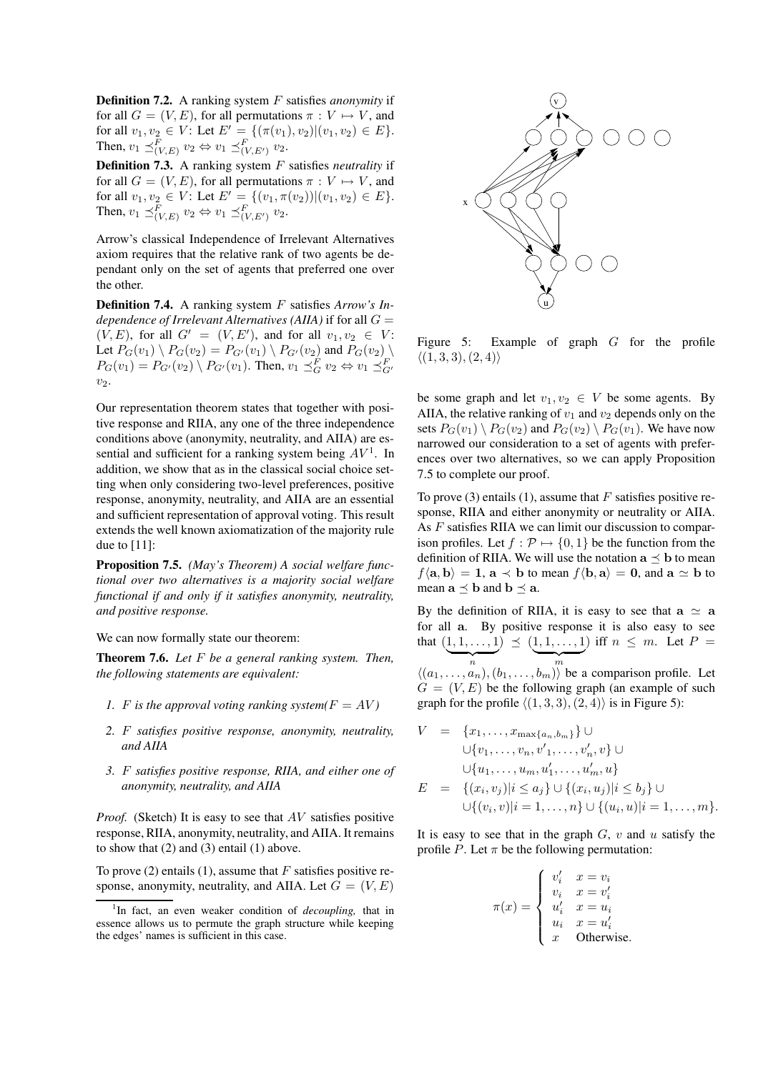**Definition 7.2.** A ranking system F satisfies *anonymity* if for all  $G = (V, E)$ , for all permutations  $\pi : V \mapsto V$ , and for all  $v_1, v_2 \in V$ : Let  $E' = \{(\pi(v_1), v_2)|(v_1, v_2) \in E\}.$ Then,  $v_1 \preceq^F_{(V,E)} v_2 \Leftrightarrow v_1 \preceq^F_{(V,E')} v_2$ .

**Definition 7.3.** A ranking system F satisfies *neutrality* if for all  $G = (V, E)$ , for all permutations  $\pi : V \mapsto V$ , and for all  $v_1, v_2 \in V$ : Let  $E' = \{(v_1, \pi(v_2)) | (v_1, v_2) \in E\}.$ Then,  $v_1 \preceq^F_{(V,E)} v_2 \Leftrightarrow v_1 \preceq^F_{(V,E')} v_2$ .

Arrow's classical Independence of Irrelevant Alternatives axiom requires that the relative rank of two agents be dependant only on the set of agents that preferred one over the other.

**Definition 7.4.** A ranking system F satisfies *Arrow's Independence of Irrelevant Alternatives (AIIA)* if for all  $G =$  $(V, E)$ , for all  $G' = (V, E')$ , and for all  $v_1, v_2 \in V$ : Let  $P_G(v_1) \setminus P_G(v_2) = P_{G'}(v_1) \setminus P_{G'}(v_2)$  and  $P_G(v_2) \setminus$  $P_G(v_1) = P_{G'}(v_2) \setminus P_{G'}(v_1)$ . Then,  $v_1 \preceq_G^F v_2 \Leftrightarrow v_1 \preceq_G^F v_2$  $v_2$ .

Our representation theorem states that together with positive response and RIIA, any one of the three independence conditions above (anonymity, neutrality, and AIIA) are essential and sufficient for a ranking system being  $AV<sup>1</sup>$ . In addition, we show that as in the classical social choice setting when only considering two-level preferences, positive response, anonymity, neutrality, and AIIA are an essential and sufficient representation of approval voting. This result extends the well known axiomatization of the majority rule due to [11]:

**Proposition 7.5.** *(May's Theorem) A social welfare functional over two alternatives is a majority social welfare functional if and only if it satisfies anonymity, neutrality, and positive response.*

We can now formally state our theorem:

**Theorem 7.6.** *Let* F *be a general ranking system. Then, the following statements are equivalent:*

- *1.* F is the approval voting ranking system( $F = AV$ )
- *2.* F *satisfies positive response, anonymity, neutrality, and AIIA*
- *3.* F *satisfies positive response, RIIA, and either one of anonymity, neutrality, and AIIA*

*Proof.* (Sketch) It is easy to see that AV satisfies positive response, RIIA, anonymity, neutrality, and AIIA. It remains to show that  $(2)$  and  $(3)$  entail  $(1)$  above.

To prove (2) entails (1), assume that  $F$  satisfies positive response, anonymity, neutrality, and AIIA. Let  $G = (V, E)$ 



Figure 5: Example of graph  $G$  for the profile  $\langle (1, 3, 3), (2, 4) \rangle$ 

be some graph and let  $v_1, v_2 \in V$  be some agents. By AIIA, the relative ranking of  $v_1$  and  $v_2$  depends only on the sets  $P_G(v_1) \setminus P_G(v_2)$  and  $P_G(v_2) \setminus P_G(v_1)$ . We have now narrowed our consideration to a set of agents with preferences over two alternatives, so we can apply Proposition 7.5 to complete our proof.

To prove (3) entails (1), assume that  $F$  satisfies positive response, RIIA and either anonymity or neutrality or AIIA. As F satisfies RIIA we can limit our discussion to comparison profiles. Let  $f : \mathcal{P} \mapsto \{0, 1\}$  be the function from the definition of RIIA. We will use the notation  $a \prec b$  to mean  $f\langle \mathbf{a}, \mathbf{b} \rangle = \mathbf{1}, \mathbf{a} \prec \mathbf{b}$  to mean  $f\langle \mathbf{b}, \mathbf{a} \rangle = \mathbf{0}$ , and  $\mathbf{a} \simeq \mathbf{b}$  to mean  $\mathbf{a} \preceq \mathbf{b}$  and  $\mathbf{b} \preceq \mathbf{a}$ .

By the definition of RIIA, it is easy to see that  $a \simeq a$ for all a. By positive response it is also easy to see that  $(1, 1, ..., 1) \preceq (1, 1, ..., 1)$  iff  $n \leq m$ . Let  $P =$  $\langle (a_1, \ldots, a_n), (b_1, \ldots, b_m) \rangle$  be a comparison profile. Let  $G = (V, E)$  be the following graph (an example of such graph for the profile  $\langle (1, 3, 3), (2, 4) \rangle$  is in Figure 5):

$$
V = \{x_1, \ldots, x_{\max\{a_n, b_m\}}\} \cup
$$
  
\n
$$
\cup \{v_1, \ldots, v_n, v'_1, \ldots, v'_n, v\} \cup
$$
  
\n
$$
\cup \{u_1, \ldots, u_m, u'_1, \ldots, u'_m, u\}
$$
  
\n
$$
E = \{(x_i, v_j)|i \leq a_j\} \cup \{(x_i, u_j)|i \leq b_j\} \cup
$$
  
\n
$$
\cup \{(v_i, v)|i = 1, \ldots, n\} \cup \{(u_i, u)|i = 1, \ldots, m\}.
$$

It is easy to see that in the graph  $G$ ,  $v$  and  $u$  satisfy the profile  $P$ . Let  $\pi$  be the following permutation:

$$
\pi(x) = \left\{ \begin{array}{ll} v'_i & x = v_i \\ v_i & x = v'_i \\ u'_i & x = u_i \\ u_i & x = u'_i \\ x & \text{Otherwise.} \end{array} \right.
$$

<sup>&</sup>lt;sup>1</sup>In fact, an even weaker condition of *decoupling*, that in essence allows us to permute the graph structure while keeping the edges' names is sufficient in this case.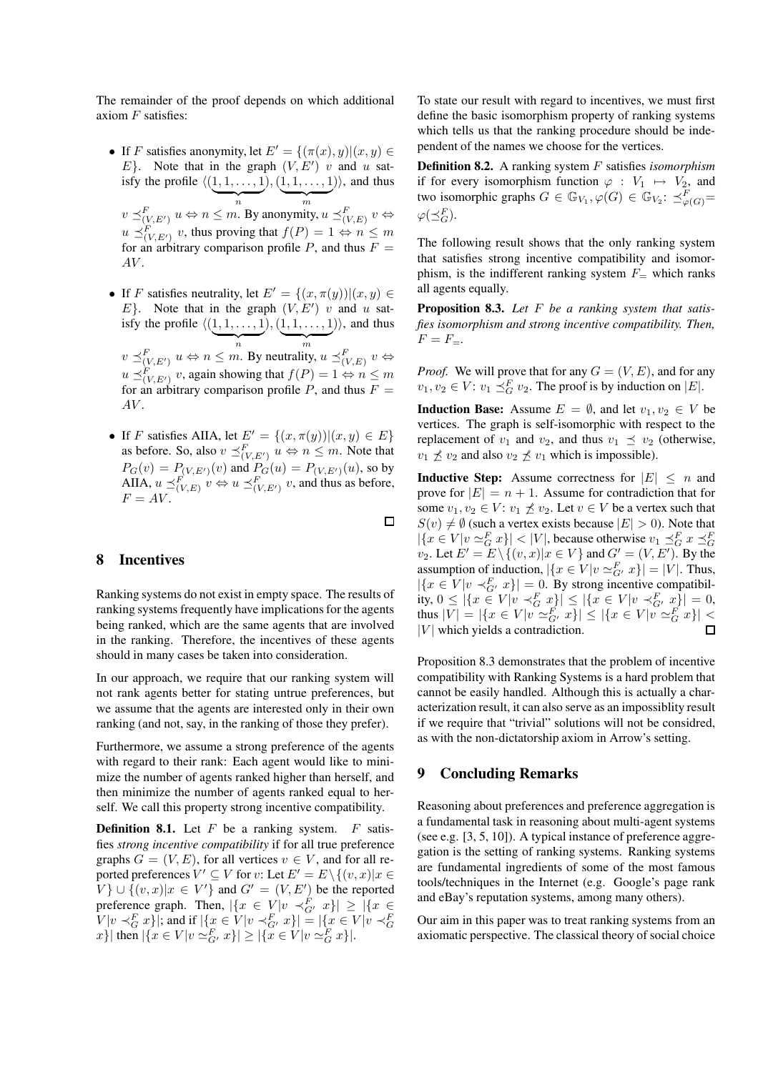The remainder of the proof depends on which additional axiom  $F$  satisfies:

- If F satisfies anonymity, let  $E' = \{(\pi(x), y) | (x, y) \in$  $E$ }. Note that in the graph  $(V, E')$  v and u satisfy the profile  $\langle (1, 1, \ldots, 1) \rangle$  $\overbrace{\phantom{aaaaa}}^n$  $), (1, 1, \ldots, 1)$  $\overline{m}$  $\rangle$ , and thus  $v \preceq^F_{(V,E')} u \Leftrightarrow n \le m$ . By anonymity,  $u \preceq^F_{(V,E)} v \Leftrightarrow$  $u \preceq^F_{(V,E')} v$ , thus proving that  $f(P) = 1 \Leftrightarrow n \leq m$ for an arbitrary comparison profile  $P$ , and thus  $F =$ AV.
- If F satisfies neutrality, let  $E' = \{(x, \pi(y))|(x, y) \in$  $E$ }. Note that in the graph  $(V, E')$  v and u satisfy the profile  $\langle (1, 1, \ldots, 1), (1, 1, \ldots, 1) \rangle$ , and thus  $v \preceq_{(V,E')}^F u \Leftrightarrow n \leq m$ . By neutrality,  $u \preceq_{(V,E)}^F v \Leftrightarrow$  $u \preceq^F_{(V,E')} v$ , again showing that  $f(P) = 1 \Leftrightarrow n \le m$ for an arbitrary comparison profile  $P$ , and thus  $F =$  $AV.$
- If F satisfies AIIA, let  $E' = \{(x, \pi(y))|(x, y) \in E\}$ as before. So, also  $v \preceq^F_{(V, E')} u \Leftrightarrow n \leq m$ . Note that  $P_G(v) = P_{(V,E')}(v)$  and  $P_G(u) = P_{(V,E')}(u)$ , so by AIIA,  $u \preceq^F_{(V,E)} v \Leftrightarrow u \preceq^F_{(V,E')} v$ , and thus as before,  $F = AV$ .

 $\Box$ 

## **8 Incentives**

Ranking systems do not exist in empty space. The results of ranking systems frequently have implications for the agents being ranked, which are the same agents that are involved in the ranking. Therefore, the incentives of these agents should in many cases be taken into consideration.

In our approach, we require that our ranking system will not rank agents better for stating untrue preferences, but we assume that the agents are interested only in their own ranking (and not, say, in the ranking of those they prefer).

Furthermore, we assume a strong preference of the agents with regard to their rank: Each agent would like to minimize the number of agents ranked higher than herself, and then minimize the number of agents ranked equal to herself. We call this property strong incentive compatibility.

**Definition 8.1.** Let  $F$  be a ranking system.  $F$  satisfies *strong incentive compatibility* if for all true preference graphs  $G = (V, E)$ , for all vertices  $v \in V$ , and for all reported preferences  $V' \subseteq V$  for  $v$ : Let  $E' = E \setminus \{(v, x) | x \in$  $V$   $\cup$   $\{(v, x) | x \in V'\}$  and  $G' = (V, E')$  be the reported preference graph. Then,  $|\{x \in V | v \prec_{G'}^F x\}| \geq |\{x \in$  $V|v \prec_G^F x\rbrace$ ; and if  $|\{x \in V|v \prec_{G'}^F x\}| = |\{x \in V|v \prec_G^F x\rangle\}$ <br>  $|x \rangle$  then  $|\{x \in V|v \simeq_{G'}^F x\rangle| \ge |\{x \in V|v \simeq_G^F x\rangle\}$ .

To state our result with regard to incentives, we must first define the basic isomorphism property of ranking systems which tells us that the ranking procedure should be independent of the names we choose for the vertices.

**Definition 8.2.** A ranking system F satisfies *isomorphism* if for every isomorphism function  $\varphi : V_1 \mapsto V_2$ , and two isomorphic graphs  $G \in \mathbb{G}_{V_1}, \varphi(G) \in \mathbb{G}_{V_2}: \preceq^F_{\varphi(G)} =$  $\varphi(\preceq^F_G)$ .

The following result shows that the only ranking system that satisfies strong incentive compatibility and isomorphism, is the indifferent ranking system  $F_{\pm}$  which ranks all agents equally.

**Proposition 8.3.** *Let* F *be a ranking system that satisfies isomorphism and strong incentive compatibility. Then,*  $F = F_{=}$ .

*Proof.* We will prove that for any  $G = (V, E)$ , and for any  $v_1, v_2 \in V$ :  $v_1 \preceq_G^F v_2$ . The proof is by induction on  $|E|$ .

**Induction Base:** Assume  $E = \emptyset$ , and let  $v_1, v_2 \in V$  be vertices. The graph is self-isomorphic with respect to the replacement of  $v_1$  and  $v_2$ , and thus  $v_1 \preceq v_2$  (otherwise,  $v_1 \nleq v_2$  and also  $v_2 \nleq v_1$  which is impossible).

**Inductive Step:** Assume correctness for  $|E| \leq n$  and prove for  $|E| = n + 1$ . Assume for contradiction that for some  $v_1, v_2 \in V: v_1 \npreceq v_2$ . Let  $v \in V$  be a vertex such that  $S(v) \neq \emptyset$  (such a vertex exists because  $|E| > 0$ ). Note that  $|\{x \in V | v \simeq_G^F x\}| < |V|$ , because otherwise  $v_1 \preceq_G^F x \preceq_G^F$  $v_2$ . Let  $E' = E \setminus \{(v, x) | x \in V\}$  and  $G' = (V, E')$ . By the assumption of induction,  $|\{x \in V | v \simeq_{G'}^F x\}| = |V|$ . Thus,  $|\{x \in V | v \prec_{G'}^F x\}| = 0$ . By strong incentive compatibility,  $0 \leq |\{x \in V | v \prec_G^F x\}| \leq |\{x \in V | v \prec_{G'}^F x\}| = 0$ , thus  $|V| = |\{x \in V | v \simeq_{G'}^F x\}| \leq |\{x \in V | v \simeq_G^F x\}| <$  $|V|$  which yields a contradiction.

Proposition 8.3 demonstrates that the problem of incentive compatibility with Ranking Systems is a hard problem that cannot be easily handled. Although this is actually a characterization result, it can also serve as an impossiblity result if we require that "trivial" solutions will not be considred, as with the non-dictatorship axiom in Arrow's setting.

## **9 Concluding Remarks**

Reasoning about preferences and preference aggregation is a fundamental task in reasoning about multi-agent systems (see e.g. [3, 5, 10]). A typical instance of preference aggregation is the setting of ranking systems. Ranking systems are fundamental ingredients of some of the most famous tools/techniques in the Internet (e.g. Google's page rank and eBay's reputation systems, among many others).

Our aim in this paper was to treat ranking systems from an axiomatic perspective. The classical theory of social choice